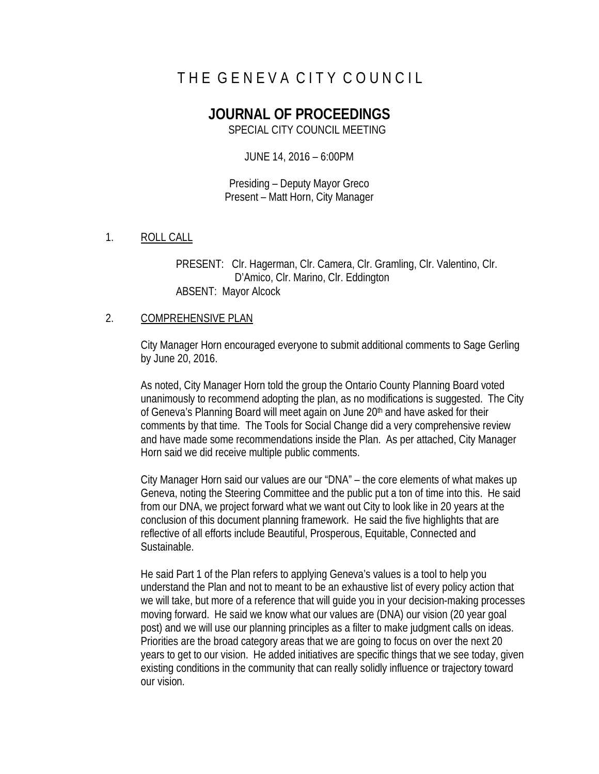# THE GENEVA CITY COUNCIL

# **JOURNAL OF PROCEEDINGS**

SPECIAL CITY COUNCIL MEETING

JUNE 14, 2016 – 6:00PM

Presiding – Deputy Mayor Greco Present – Matt Horn, City Manager

1. ROLL CALL

PRESENT: Clr. Hagerman, Clr. Camera, Clr. Gramling, Clr. Valentino, Clr. D'Amico, Clr. Marino, Clr. Eddington ABSENT: Mayor Alcock

## 2. COMPREHENSIVE PLAN

City Manager Horn encouraged everyone to submit additional comments to Sage Gerling by June 20, 2016.

As noted, City Manager Horn told the group the Ontario County Planning Board voted unanimously to recommend adopting the plan, as no modifications is suggested. The City of Geneva's Planning Board will meet again on June 20<sup>th</sup> and have asked for their comments by that time. The Tools for Social Change did a very comprehensive review and have made some recommendations inside the Plan. As per attached, City Manager Horn said we did receive multiple public comments.

City Manager Horn said our values are our "DNA" – the core elements of what makes up Geneva, noting the Steering Committee and the public put a ton of time into this. He said from our DNA, we project forward what we want out City to look like in 20 years at the conclusion of this document planning framework. He said the five highlights that are reflective of all efforts include Beautiful, Prosperous, Equitable, Connected and Sustainable.

He said Part 1 of the Plan refers to applying Geneva's values is a tool to help you understand the Plan and not to meant to be an exhaustive list of every policy action that we will take, but more of a reference that will guide you in your decision-making processes moving forward. He said we know what our values are (DNA) our vision (20 year goal post) and we will use our planning principles as a filter to make judgment calls on ideas. Priorities are the broad category areas that we are going to focus on over the next 20 years to get to our vision. He added initiatives are specific things that we see today, given existing conditions in the community that can really solidly influence or trajectory toward our vision.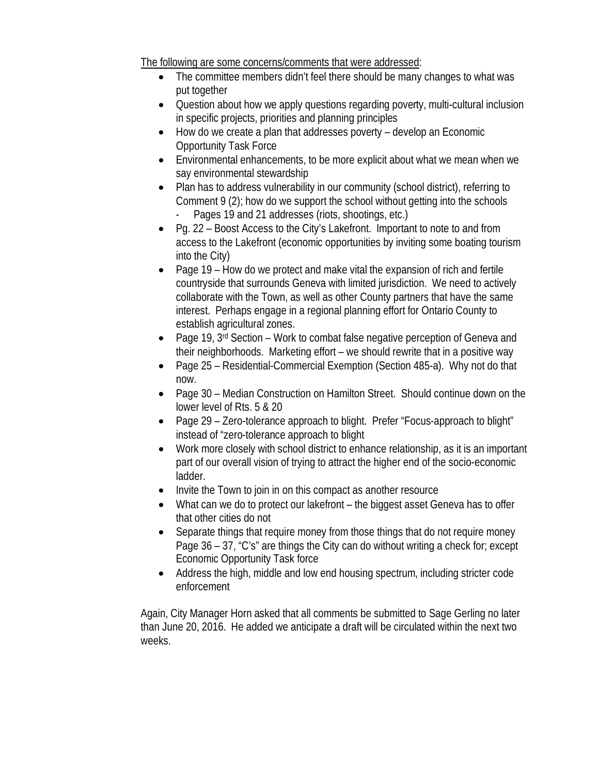The following are some concerns/comments that were addressed:

- The committee members didn't feel there should be many changes to what was put together
- Question about how we apply questions regarding poverty, multi-cultural inclusion in specific projects, priorities and planning principles
- How do we create a plan that addresses poverty develop an Economic Opportunity Task Force
- Environmental enhancements, to be more explicit about what we mean when we say environmental stewardship
- Plan has to address vulnerability in our community (school district), referring to Comment 9 (2); how do we support the school without getting into the schools Pages 19 and 21 addresses (riots, shootings, etc.)
- Pg. 22 Boost Access to the City's Lakefront. Important to note to and from access to the Lakefront (economic opportunities by inviting some boating tourism into the City)
- Page 19 How do we protect and make vital the expansion of rich and fertile countryside that surrounds Geneva with limited jurisdiction. We need to actively collaborate with the Town, as well as other County partners that have the same interest. Perhaps engage in a regional planning effort for Ontario County to establish agricultural zones.
- Page 19, 3rd Section Work to combat false negative perception of Geneva and their neighborhoods. Marketing effort – we should rewrite that in a positive way
- Page 25 Residential-Commercial Exemption (Section 485-a). Why not do that now.
- Page 30 Median Construction on Hamilton Street. Should continue down on the lower level of Rts. 5 & 20
- Page 29 Zero-tolerance approach to blight. Prefer "Focus-approach to blight" instead of "zero-tolerance approach to blight
- Work more closely with school district to enhance relationship, as it is an important part of our overall vision of trying to attract the higher end of the socio-economic ladder.
- Invite the Town to join in on this compact as another resource
- What can we do to protect our lakefront the biggest asset Geneva has to offer that other cities do not
- Separate things that require money from those things that do not require money Page 36 – 37, "C's" are things the City can do without writing a check for; except Economic Opportunity Task force
- Address the high, middle and low end housing spectrum, including stricter code enforcement

Again, City Manager Horn asked that all comments be submitted to Sage Gerling no later than June 20, 2016. He added we anticipate a draft will be circulated within the next two weeks.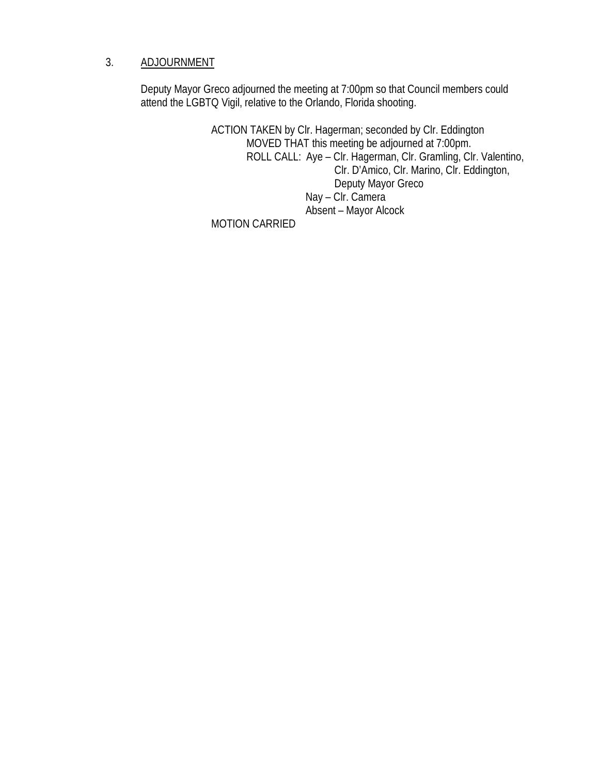# 3. ADJOURNMENT

Deputy Mayor Greco adjourned the meeting at 7:00pm so that Council members could attend the LGBTQ Vigil, relative to the Orlando, Florida shooting.

> ACTION TAKEN by Clr. Hagerman; seconded by Clr. Eddington MOVED THAT this meeting be adjourned at 7:00pm. ROLL CALL: Aye – Clr. Hagerman, Clr. Gramling, Clr. Valentino, Clr. D'Amico, Clr. Marino, Clr. Eddington, Deputy Mayor Greco Nay – Clr. Camera Absent – Mayor Alcock

MOTION CARRIED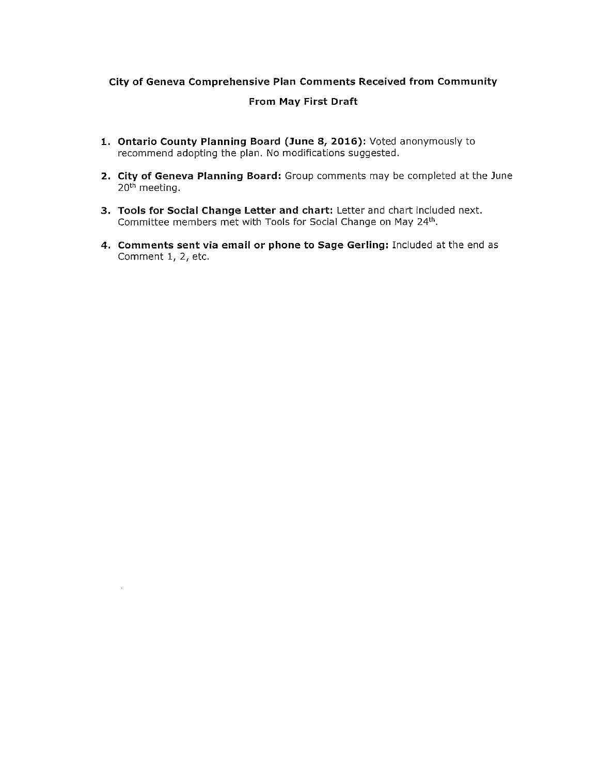## City of Geneva Comprehensive Plan Comments Received from Community

#### From May First Draft

- 1. Ontario County Planning Board (June 8, 2016): Voted anonymously to recommend adopting the plan. No modifications suggested.
- 2. City of Geneva Planning Board: Group comments may be completed at the June 20<sup>th</sup> meeting.
- 3. Tools for Social Change Letter and chart: Letter and chart included next. Committee members met with Tools for Social Change on May 24th.

 $\mathcal{A}^{\pm}$ 

4. Comments sent via email or phone to Sage Gerling: Included at the end as Comment 1, 2, etc.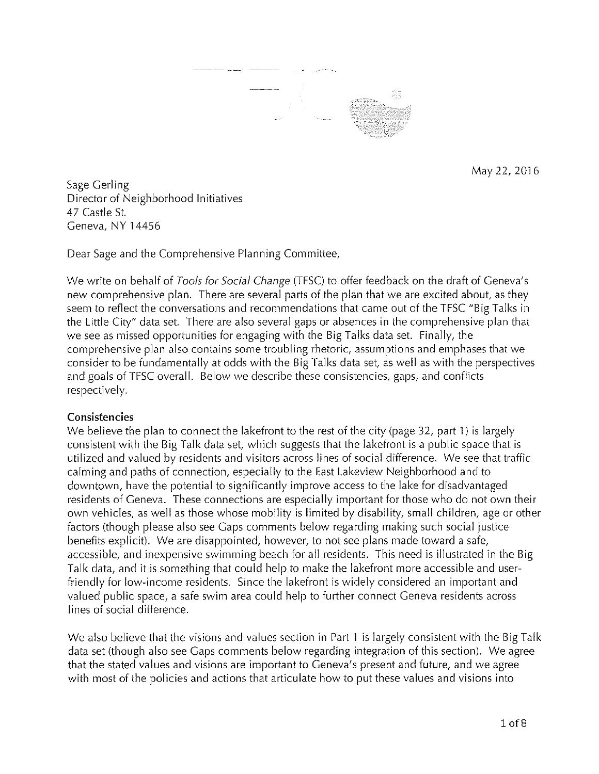

May 22, 2016

Sage Gerling Director of Neighborhood Initiatives 47 Castle St. Geneva, NY 14456

Dear Sage and the Comprehensive Planning Committee,

We write on behalf of Tools for Social Change (TFSC) to offer feedback on the draft of Geneva's new comprehensive plan. There are several parts of the plan that we are excited about, as they seem to reflect the conversations and recommendations that came out of the TFSC "Big Talks in the Little City" data set. There are also several gaps or absences in the comprehensive plan that we see as missed opportunities for engaging with the Big Talks data set. Finally, the comprehensive plan also contains some troubling rhetoric, assumptions and emphases that we consider to be fundamentally at odds with the Big Talks data set, as well as with the perspectives and goals of TFSC overall. Below we describe these consistencies, gaps, and conflicts respectively.

# Consistencies

We believe the plan to connect the lakefront to the rest of the city (page 32, part 1) is largely consistent with the Big Talk data set, which suggests that the lakefront is a public space that is utilized and valued by residents and visitors across lines of social difference. We see that traffic calming and paths of connection, especially to the East Lakeview Neighborhood and to downtown, have the potential to significantly improve access to the lake for disadvantaged residents of Geneva. These connections are especially important for those who do not own their own vehicles, as well as those whose mobility is limited by disability, small children, age or other factors (though please also see Gaps comments below regarding making such social justice benefits explicit). We are disappointed, however, to not see plans made toward a safe, accessible, and inexpensive swimming beach for all residents. This need is illustrated in the Big Talk data, and it is something that could help to make the lakefront more accessible and userfriendly for low-income residents. Since the lakefront is widely considered an important and valued public space, a safe swim area could help to further connect Geneva residents across lines of social difference.

We also believe that the visions and values section in Part 1 is largely consistent with the Big Talk data set (though also see Gaps comments below regarding integration of this section). We agree that the stated values and visions are important to Geneva's present and future, and we agree with most of the policies and actions that articulate how to put these values and visions into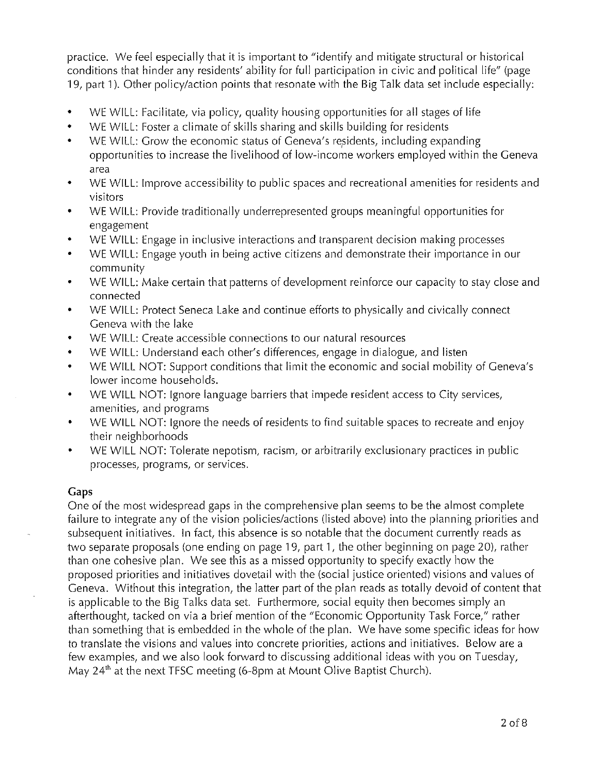practice. We feel especially that it is important to "identify and mitigate structural or historical conditions that hinder any residents' ability for full participation in civic and political life" (page 19, part 1). Other policy/action points that resonate with the Big Talk data set include especially:

- $\bullet$ WE WILL: Facilitate, via policy, quality housing opportunities for all stages of life
- WE WILL: Foster a climate of skills sharing and skills building for residents  $\bullet$
- WE WILL: Grow the economic status of Geneva's residents, including expanding  $\bullet$ opportunities to increase the livelihood of low-income workers employed within the Geneva area
- WE WILL: Improve accessibility to public spaces and recreational amenities for residents and  $\bullet$ visitors
- WE WILL: Provide traditionally underrepresented groups meaningful opportunities for ٠ engagement
- WE WILL: Engage in inclusive interactions and transparent decision making processes ٠
- WE WILL: Engage youth in being active citizens and demonstrate their importance in our community
- WE WILL: Make certain that patterns of development reinforce our capacity to stay close and  $\bullet$ connected
- WE WILL: Protect Seneca Lake and continue efforts to physically and civically connect  $\bullet$ Geneva with the lake
- WE WILL: Create accessible connections to our natural resources  $\bullet$
- WE WILL: Understand each other's differences, engage in dialogue, and listen  $\bullet$
- WE WILL NOT: Support conditions that limit the economic and social mobility of Geneva's  $\bullet$ lower income households.
- WE WILL NOT: Ignore language barriers that impede resident access to City services, ٠ amenities, and programs
- WE WILL NOT: Ignore the needs of residents to find suitable spaces to recreate and enjoy  $\bullet$ their neighborhoods
- WE WILL NOT: Tolerate nepotism, racism, or arbitrarily exclusionary practices in public  $\bullet$ processes, programs, or services.

# Gaps

One of the most widespread gaps in the comprehensive plan seems to be the almost complete failure to integrate any of the vision policies/actions (listed above) into the planning priorities and subsequent initiatives. In fact, this absence is so notable that the document currently reads as two separate proposals (one ending on page 19, part 1, the other beginning on page 20), rather than one cohesive plan. We see this as a missed opportunity to specify exactly how the proposed priorities and initiatives dovetail with the (social justice oriented) visions and values of Geneva. Without this integration, the latter part of the plan reads as totally devoid of content that is applicable to the Big Talks data set. Furthermore, social equity then becomes simply an afterthought, tacked on via a brief mention of the "Economic Opportunity Task Force," rather than something that is embedded in the whole of the plan. We have some specific ideas for how to translate the visions and values into concrete priorities, actions and initiatives. Below are a few examples, and we also look forward to discussing additional ideas with you on Tuesday, May  $24<sup>th</sup>$  at the next TFSC meeting (6-8pm at Mount Olive Baptist Church).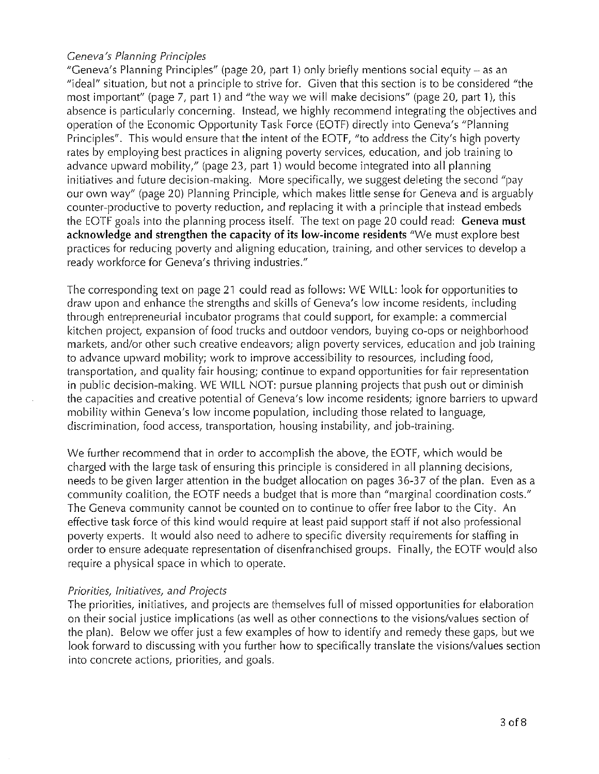## Geneva's Planning Principles

"Geneva's Planning Principles" (page 20, part 1) only briefly mentions social equity – as an "ideal" situation, but not a principle to strive for. Given that this section is to be considered "the most important" (page 7, part 1) and "the way we will make decisions" (page 20, part 1), this absence is particularly concerning. Instead, we highly recommend integrating the objectives and operation of the Economic Opportunity Task Force (EOTF) directly into Geneva's "Planning Principles". This would ensure that the intent of the EOTF, "to address the City's high poverty rates by employing best practices in aligning poverty services, education, and job training to advance upward mobility," (page 23, part 1) would become integrated into all planning initiatives and future decision-making. More specifically, we suggest deleting the second "pay" our own way" (page 20) Planning Principle, which makes little sense for Geneva and is arguably counter-productive to poverty reduction, and replacing it with a principle that instead embeds the EOTF goals into the planning process itself. The text on page 20 could read: Geneva must acknowledge and strengthen the capacity of its low-income residents "We must explore best practices for reducing poverty and aligning education, training, and other services to develop a ready workforce for Geneva's thriving industries."

The corresponding text on page 21 could read as follows: WE WILL: look for opportunities to draw upon and enhance the strengths and skills of Geneva's low income residents, including through entrepreneurial incubator programs that could support, for example: a commercial kitchen project, expansion of food trucks and outdoor vendors, buying co-ops or neighborhood markets, and/or other such creative endeavors; align poverty services, education and job training to advance upward mobility; work to improve accessibility to resources, including food, transportation, and quality fair housing; continue to expand opportunities for fair representation in public decision-making. WE WILL NOT: pursue planning projects that push out or diminish the capacities and creative potential of Geneva's low income residents; ignore barriers to upward mobility within Geneva's low income population, including those related to language, discrimination, food access, transportation, housing instability, and job-training.

We further recommend that in order to accomplish the above, the EOTF, which would be charged with the large task of ensuring this principle is considered in all planning decisions, needs to be given larger attention in the budget allocation on pages 36-37 of the plan. Even as a community coalition, the EOTF needs a budget that is more than "marginal coordination costs." The Geneva community cannot be counted on to continue to offer free labor to the City. An effective task force of this kind would require at least paid support staff if not also professional poverty experts. It would also need to adhere to specific diversity requirements for staffing in order to ensure adequate representation of disenfranchised groups. Finally, the EOTF would also require a physical space in which to operate.

# Priorities, Initiatives, and Projects

The priorities, initiatives, and projects are themselves full of missed opportunities for elaboration on their social justice implications (as well as other connections to the visions/values section of the plan). Below we offer just a few examples of how to identify and remedy these gaps, but we look forward to discussing with you further how to specifically translate the visions/values section into concrete actions, priorities, and goals.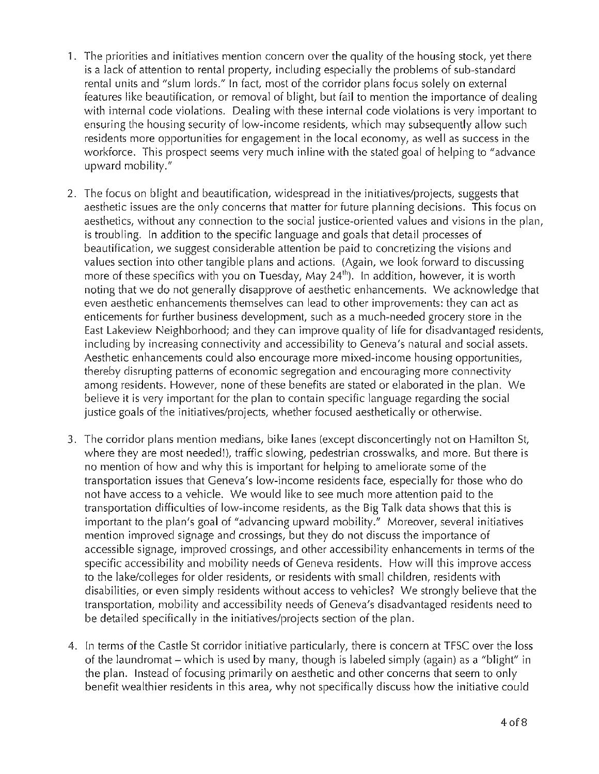- 1. The priorities and initiatives mention concern over the quality of the housing stock, yet there is a lack of attention to rental property, including especially the problems of sub-standard rental units and "slum lords." In fact, most of the corridor plans focus solely on external features like beautification, or removal of blight, but fail to mention the importance of dealing with internal code violations. Dealing with these internal code violations is very important to ensuring the housing security of low-income residents, which may subsequently allow such residents more opportunities for engagement in the local economy, as well as success in the workforce. This prospect seems very much inline with the stated goal of helping to "advance" upward mobility."
- 2. The focus on blight and beautification, widespread in the initiatives/projects, suggests that aesthetic issues are the only concerns that matter for future planning decisions. This focus on aesthetics, without any connection to the social justice-oriented values and visions in the plan, is troubling. In addition to the specific language and goals that detail processes of beautification, we suggest considerable attention be paid to concretizing the visions and values section into other tangible plans and actions. (Again, we look forward to discussing more of these specifics with you on Tuesday, May 24<sup>th</sup>). In addition, however, it is worth noting that we do not generally disapprove of aesthetic enhancements. We acknowledge that even aesthetic enhancements themselves can lead to other improvements: they can act as enticements for further business development, such as a much-needed grocery store in the East Lakeview Neighborhood; and they can improve quality of life for disadvantaged residents, including by increasing connectivity and accessibility to Geneva's natural and social assets. Aesthetic enhancements could also encourage more mixed-income housing opportunities, thereby disrupting patterns of economic segregation and encouraging more connectivity among residents. However, none of these benefits are stated or elaborated in the plan. We believe it is very important for the plan to contain specific language regarding the social justice goals of the initiatives/projects, whether focused aesthetically or otherwise.
- 3. The corridor plans mention medians, bike lanes (except disconcertingly not on Hamilton St, where they are most needed!), traffic slowing, pedestrian crosswalks, and more. But there is no mention of how and why this is important for helping to ameliorate some of the transportation issues that Geneva's low-income residents face, especially for those who do not have access to a vehicle. We would like to see much more attention paid to the transportation difficulties of low-income residents, as the Big Talk data shows that this is important to the plan's goal of "advancing upward mobility." Moreover, several initiatives mention improved signage and crossings, but they do not discuss the importance of accessible signage, improved crossings, and other accessibility enhancements in terms of the specific accessibility and mobility needs of Geneva residents. How will this improve access to the lake/colleges for older residents, or residents with small children, residents with disabilities, or even simply residents without access to vehicles? We strongly believe that the transportation, mobility and accessibility needs of Geneva's disadvantaged residents need to be detailed specifically in the initiatives/projects section of the plan.
- 4. In terms of the Castle St corridor initiative particularly, there is concern at TFSC over the loss of the laundromat – which is used by many, though is labeled simply (again) as a "blight" in the plan. Instead of focusing primarily on aesthetic and other concerns that seem to only benefit wealthier residents in this area, why not specifically discuss how the initiative could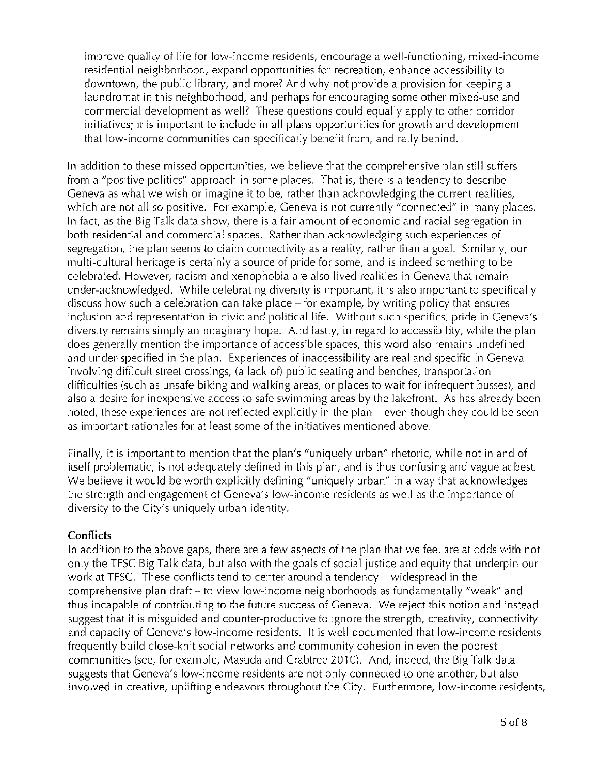improve quality of life for low-income residents, encourage a well-functioning, mixed-income residential neighborhood, expand opportunities for recreation, enhance accessibility to downtown, the public library, and more? And why not provide a provision for keeping a laundromat in this neighborhood, and perhaps for encouraging some other mixed-use and commercial development as well? These questions could equally apply to other corridor initiatives; it is important to include in all plans opportunities for growth and development that low-income communities can specifically benefit from, and rally behind.

In addition to these missed opportunities, we believe that the comprehensive plan still suffers from a "positive politics" approach in some places. That is, there is a tendency to describe Geneva as what we wish or imagine it to be, rather than acknowledging the current realities, which are not all so positive. For example, Geneva is not currently "connected" in many places. In fact, as the Big Talk data show, there is a fair amount of economic and racial segregation in both residential and commercial spaces. Rather than acknowledging such experiences of segregation, the plan seems to claim connectivity as a reality, rather than a goal. Similarly, our multi-cultural heritage is certainly a source of pride for some, and is indeed something to be celebrated. However, racism and xenophobia are also lived realities in Geneva that remain under-acknowledged. While celebrating diversity is important, it is also important to specifically discuss how such a celebration can take place – for example, by writing policy that ensures inclusion and representation in civic and political life. Without such specifics, pride in Geneva's diversity remains simply an imaginary hope. And lastly, in regard to accessibility, while the plan does generally mention the importance of accessible spaces, this word also remains undefined and under-specified in the plan. Experiences of inaccessibility are real and specific in Geneva – involving difficult street crossings, (a lack of) public seating and benches, transportation difficulties (such as unsafe biking and walking areas, or places to wait for infrequent busses), and also a desire for inexpensive access to safe swimming areas by the lakefront. As has already been noted, these experiences are not reflected explicitly in the plan – even though they could be seen as important rationales for at least some of the initiatives mentioned above.

Finally, it is important to mention that the plan's "uniquely urban" rhetoric, while not in and of itself problematic, is not adequately defined in this plan, and is thus confusing and vague at best. We believe it would be worth explicitly defining "uniquely urban" in a way that acknowledges the strength and engagement of Geneva's low-income residents as well as the importance of diversity to the City's uniquely urban identity.

# **Conflicts**

In addition to the above gaps, there are a few aspects of the plan that we feel are at odds with not only the TFSC Big Talk data, but also with the goals of social justice and equity that underpin our work at TFSC. These conflicts tend to center around a tendency – widespread in the comprehensive plan draft – to view low-income neighborhoods as fundamentally "weak" and thus incapable of contributing to the future success of Geneva. We reject this notion and instead suggest that it is misguided and counter-productive to ignore the strength, creativity, connectivity and capacity of Geneva's low-income residents. It is well documented that low-income residents frequently build close-knit social networks and community cohesion in even the poorest communities (see, for example, Masuda and Crabtree 2010). And, indeed, the Big Talk data suggests that Geneva's low-income residents are not only connected to one another, but also involved in creative, uplifting endeavors throughout the City. Furthermore, low-income residents,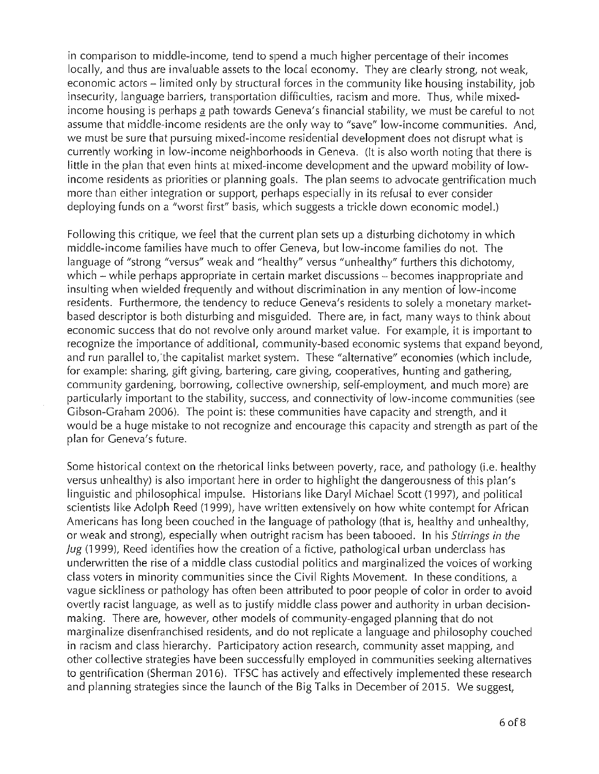in comparison to middle-income, tend to spend a much higher percentage of their incomes locally, and thus are invaluable assets to the local economy. They are clearly strong, not weak, economic actors – limited only by structural forces in the community like housing instability, job insecurity, language barriers, transportation difficulties, racism and more. Thus, while mixedincome housing is perhaps a path towards Geneva's financial stability, we must be careful to not assume that middle-income residents are the only way to "save" low-income communities. And, we must be sure that pursuing mixed-income residential development does not disrupt what is currently working in low-income neighborhoods in Geneva. (It is also worth noting that there is little in the plan that even hints at mixed-income development and the upward mobility of lowincome residents as priorities or planning goals. The plan seems to advocate gentrification much more than either integration or support, perhaps especially in its refusal to ever consider deploying funds on a "worst first" basis, which suggests a trickle down economic model.)

Following this critique, we feel that the current plan sets up a disturbing dichotomy in which middle-income families have much to offer Geneva, but low-income families do not. The language of "strong "versus" weak and "healthy" versus "unhealthy" furthers this dichotomy, which - while perhaps appropriate in certain market discussions - becomes inappropriate and insulting when wielded frequently and without discrimination in any mention of low-income residents. Furthermore, the tendency to reduce Geneva's residents to solely a monetary marketbased descriptor is both disturbing and misguided. There are, in fact, many ways to think about economic success that do not revolve only around market value. For example, it is important to recognize the importance of additional, community-based economic systems that expand beyond, and run parallel to, the capitalist market system. These "alternative" economies (which include, for example: sharing, gift giving, bartering, care giving, cooperatives, hunting and gathering, community gardening, borrowing, collective ownership, self-employment, and much more) are particularly important to the stability, success, and connectivity of low-income communities (see Gibson-Graham 2006). The point is: these communities have capacity and strength, and it would be a huge mistake to not recognize and encourage this capacity and strength as part of the plan for Geneva's future.

Some historical context on the rhetorical links between poverty, race, and pathology (i.e. healthy versus unhealthy) is also important here in order to highlight the dangerousness of this plan's linguistic and philosophical impulse. Historians like Daryl Michael Scott (1997), and political scientists like Adolph Reed (1999), have written extensively on how white contempt for African Americans has long been couched in the language of pathology (that is, healthy and unhealthy, or weak and strong), especially when outright racism has been tabooed. In his *Stirrings in the* Jug (1999), Reed identifies how the creation of a fictive, pathological urban underclass has underwritten the rise of a middle class custodial politics and marginalized the voices of working class voters in minority communities since the Civil Rights Movement. In these conditions, a vague sickliness or pathology has often been attributed to poor people of color in order to avoid overtly racist language, as well as to justify middle class power and authority in urban decisionmaking. There are, however, other models of community-engaged planning that do not marginalize disenfranchised residents, and do not replicate a language and philosophy couched in racism and class hierarchy. Participatory action research, community asset mapping, and other collective strategies have been successfully employed in communities seeking alternatives to gentrification (Sherman 2016). TFSC has actively and effectively implemented these research and planning strategies since the launch of the Big Talks in December of 2015. We suggest,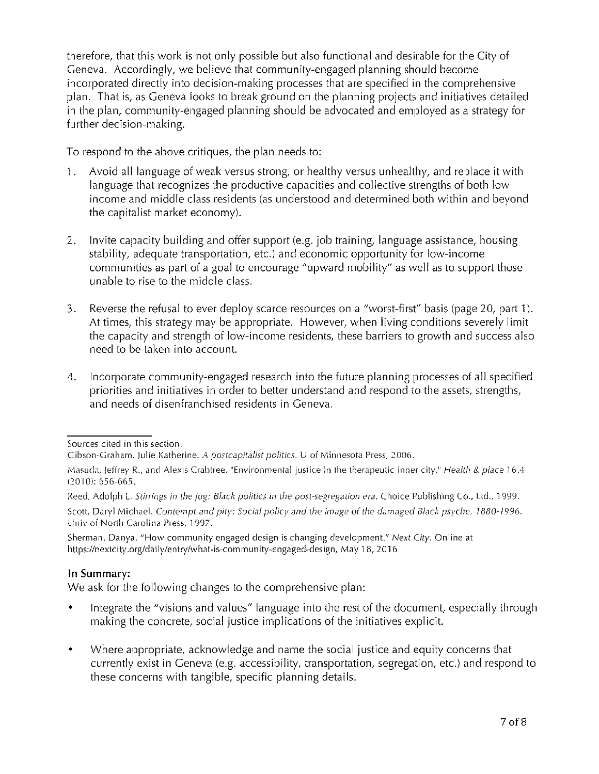therefore, that this work is not only possible but also functional and desirable for the City of Geneva. Accordingly, we believe that community-engaged planning should become incorporated directly into decision-making processes that are specified in the comprehensive plan. That is, as Geneva looks to break ground on the planning projects and initiatives detailed in the plan, community-engaged planning should be advocated and employed as a strategy for further decision-making.

To respond to the above critiques, the plan needs to:

- Avoid all language of weak versus strong, or healthy versus unhealthy, and replace it with  $1.$ language that recognizes the productive capacities and collective strengths of both low income and middle class residents (as understood and determined both within and beyond the capitalist market economy).
- Invite capacity building and offer support (e.g. job training, language assistance, housing  $2.$ stability, adequate transportation, etc.) and economic opportunity for low-income communities as part of a goal to encourage "upward mobility" as well as to support those unable to rise to the middle class.
- Reverse the refusal to ever deploy scarce resources on a "worst-first" basis (page 20, part 1). 3. At times, this strategy may be appropriate. However, when living conditions severely limit the capacity and strength of low-income residents, these barriers to growth and success also need to be taken into account.
- Incorporate community-engaged research into the future planning processes of all specified 4. priorities and initiatives in order to better understand and respond to the assets, strengths, and needs of disenfranchised residents in Geneva.

Sources cited in this section:

Sherman, Danya. "How community engaged design is changing development." Next City. Online at https://nextcity.org/daily/entry/what-is-community-engaged-design, May 18, 2016

# In Summary:

We ask for the following changes to the comprehensive plan:

- Integrate the "visions and values" language into the rest of the document, especially through  $\bullet$ making the concrete, social justice implications of the initiatives explicit.
- Where appropriate, acknowledge and name the social justice and equity concerns that  $\bullet$ currently exist in Geneva (e.g. accessibility, transportation, segregation, etc.) and respond to these concerns with tangible, specific planning details.

Gibson-Graham, Julie Katherine. A postcapitalist politics. U of Minnesota Press, 2006.

Masuda, Jeffrey R., and Alexis Crabtree. "Environmental justice in the therapeutic inner city." Health & place 16.4  $(2010): 656-665.$ 

Reed, Adolph L. Stirrings in the jug: Black politics in the post-segregation era. Choice Publishing Co., Ltd., 1999.

Scott, Daryl Michael. Contempt and pity: Social policy and the image of the damaged Black psyche, 1880-1996. Univ of North Carolina Press, 1997.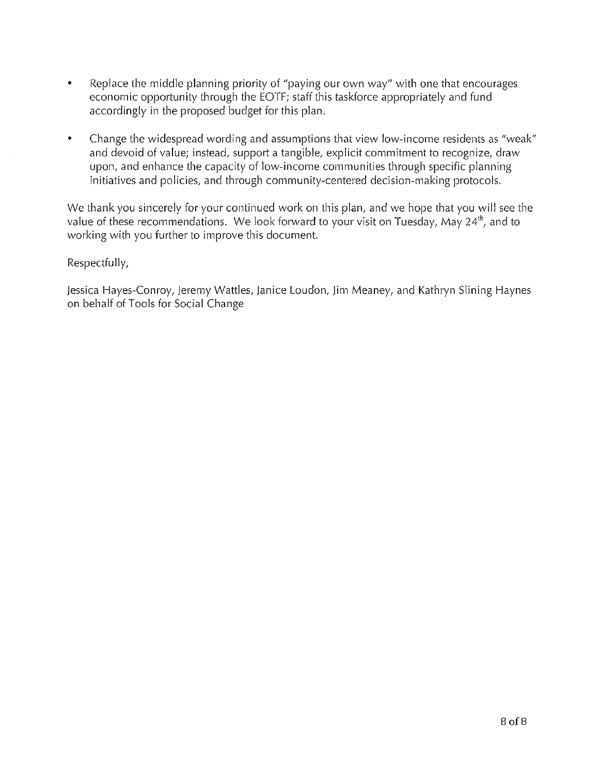- Replace the middle planning priority of "paying our own way" with one that encourages  $\bullet$ economic opportunity through the EOTF; staff this taskforce appropriately and fund accordingly in the proposed budget for this plan.
- Change the widespread wording and assumptions that view low-income residents as "weak"  $\bullet$ and devoid of value; instead, support a tangible, explicit commitment to recognize, draw upon, and enhance the capacity of low-income communities through specific planning initiatives and policies, and through community-centered decision-making protocols.

We thank you sincerely for your continued work on this plan, and we hope that you will see the value of these recommendations. We look forward to your visit on Tuesday, May 24<sup>th</sup>, and to working with you further to improve this document.

# Respectfully,

Jessica Hayes-Conroy, Jeremy Wattles, Janice Loudon, Jim Meaney, and Kathryn Slining Haynes on behalf of Tools for Social Change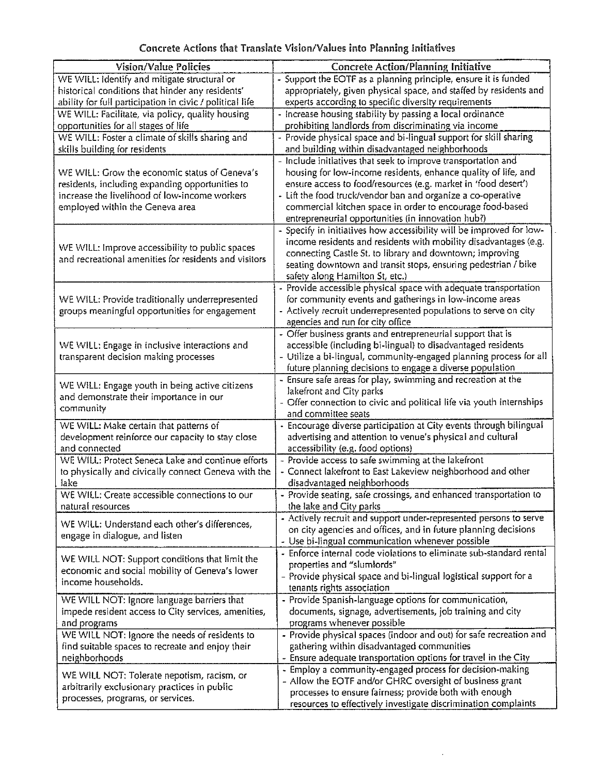| Concrete Actions that Translate Vision/Values into Planning Initiatives |  |  |  |  |  |  |
|-------------------------------------------------------------------------|--|--|--|--|--|--|
|-------------------------------------------------------------------------|--|--|--|--|--|--|

| Vision/Value Policies                                                                            | <b>Concrete Action/Planning Initiative</b>                                                                                |  |  |  |
|--------------------------------------------------------------------------------------------------|---------------------------------------------------------------------------------------------------------------------------|--|--|--|
| WE WILL: Identify and mitigate structural or                                                     | - Support the EOTF as a planning principle, ensure it is funded                                                           |  |  |  |
| historical conditions that hinder any residents'                                                 | appropriately, given physical space, and staffed by residents and                                                         |  |  |  |
| ability for full participation in civic / political life                                         | experts according to specific diversity requirements                                                                      |  |  |  |
| WE WILL: Facilitate, via policy, quality housing                                                 | - Increase housing stability by passing a local ordinance                                                                 |  |  |  |
| opportunities for all stages of life                                                             | prohibiting landlords from discriminating via income                                                                      |  |  |  |
| WE WILL: Foster a climate of skills sharing and                                                  | - Provide physical space and bi-lingual support for skill sharing                                                         |  |  |  |
| skills building for residents                                                                    | and building within disadvantaged neighborhoods                                                                           |  |  |  |
|                                                                                                  | - Include initiatives that seek to improve transportation and                                                             |  |  |  |
| WE WILL: Grow the economic status of Geneva's                                                    | housing for low-income residents, enhance quality of life, and                                                            |  |  |  |
| residents, including expanding opportunities to<br>increase the livelihood of low-income workers | ensure access to food/resources (e.g. market in 'food desert')                                                            |  |  |  |
| employed within the Geneva area                                                                  | - Lift the food truck/vendor ban and organize a co-operative<br>commercial kitchen space in order to encourage food-based |  |  |  |
|                                                                                                  | entrepreneurial opportunities (in innovation hub?)                                                                        |  |  |  |
|                                                                                                  | - Specify in initiatives how accessibility will be improved for low-                                                      |  |  |  |
|                                                                                                  | income residents and residents with mobility disadvantages (e.g.                                                          |  |  |  |
| WE WILL: Improve accessibility to public spaces                                                  | connecting Castle St. to library and downtown; improving                                                                  |  |  |  |
| and recreational amenities for residents and visitors                                            | seating downtown and transit stops, ensuring pedestrian / bike                                                            |  |  |  |
|                                                                                                  | safety along Hamilton St, etc.)                                                                                           |  |  |  |
|                                                                                                  | - Provide accessible physical space with adequate transportation                                                          |  |  |  |
| WE WILL: Provide traditionally underrepresented                                                  | for community events and gatherings in low-income areas                                                                   |  |  |  |
| groups meaningful opportunities for engagement                                                   | - Actively recruit underrepresented populations to serve on city                                                          |  |  |  |
|                                                                                                  | agencies and run for city office                                                                                          |  |  |  |
|                                                                                                  | - Offer business grants and entrepreneurial support that is                                                               |  |  |  |
| WE WILL: Engage in inclusive interactions and                                                    | accessible (including bi-lingual) to disadvantaged residents                                                              |  |  |  |
| transparent decision making processes                                                            | - Utilize a bi-lingual, community-engaged planning process for all                                                        |  |  |  |
|                                                                                                  | future planning decisions to engage a diverse population                                                                  |  |  |  |
| WE WILL: Engage youth in being active citizens                                                   | - Ensure safe areas for play, swimming and recreation at the<br>lakefront and City parks                                  |  |  |  |
| and demonstrate their importance in our                                                          | - Offer connection to civic and political life via youth internships                                                      |  |  |  |
| community                                                                                        | and committee seats                                                                                                       |  |  |  |
| WE WILL: Make certain that patterns of                                                           | - Encourage diverse participation at City events through bilingual                                                        |  |  |  |
| development reinforce our capacity to stay close                                                 | advertising and attention to venue's physical and cultural                                                                |  |  |  |
| and connected                                                                                    | accessibility (e.g. food options)                                                                                         |  |  |  |
| WE WILL: Protect Seneca Lake and continue efforts                                                | - Provide access to safe swimming at the lakefront                                                                        |  |  |  |
| to physically and civically connect Geneva with the                                              | - Connect lakefront to East Lakeview neighborhood and other                                                               |  |  |  |
| lake                                                                                             | disadvantaged neighborhoods                                                                                               |  |  |  |
| WE WILL: Create accessible connections to our                                                    | Provide seating, safe crossings, and enhanced transportation to                                                           |  |  |  |
| natural resources                                                                                | the lake and City parks                                                                                                   |  |  |  |
| WE WILL: Understand each other's differences,                                                    | - Actively recruit and support under-represented persons to serve                                                         |  |  |  |
| engage in dialogue, and listen                                                                   | on city agencies and offices, and in future planning decisions<br>- Use bi-lingual communication whenever possible        |  |  |  |
|                                                                                                  | - Enforce internal code violations to eliminate sub-standard rental                                                       |  |  |  |
| WE WILL NOT: Support conditions that limit the                                                   | properties and "slumlords"                                                                                                |  |  |  |
| economic and social mobility of Geneva's lower                                                   | - Provide physical space and bi-lingual logistical support for a                                                          |  |  |  |
| income households.                                                                               | tenants rights association                                                                                                |  |  |  |
| WE WILL NOT: Ignore language barriers that                                                       | - Provide Spanish-language options for communication,                                                                     |  |  |  |
| impede resident access to City services, amenities,                                              | documents, signage, advertisements, job training and city                                                                 |  |  |  |
| and programs                                                                                     | programs whenever possible                                                                                                |  |  |  |
| WE WILL NOT: Ignore the needs of residents to                                                    | - Provide physical spaces (indoor and out) for safe recreation and                                                        |  |  |  |
| find suitable spaces to recreate and enjoy their                                                 | gathering within disadvantaged communities                                                                                |  |  |  |
| neighborhoods                                                                                    | - Ensure adequate transportation options for travel in the City                                                           |  |  |  |
| WE WILL NOT: Tolerate nepotism, racism, or                                                       | Employ a community-engaged process for decision-making                                                                    |  |  |  |
| arbitrarily exclusionary practices in public                                                     | - Allow the EOTF and/or GHRC oversight of business grant                                                                  |  |  |  |
| processes, programs, or services.                                                                | processes to ensure fairness; provide both with enough                                                                    |  |  |  |
|                                                                                                  | resources to effectively investigate discrimination complaints                                                            |  |  |  |

 $\ddot{\phantom{a}}$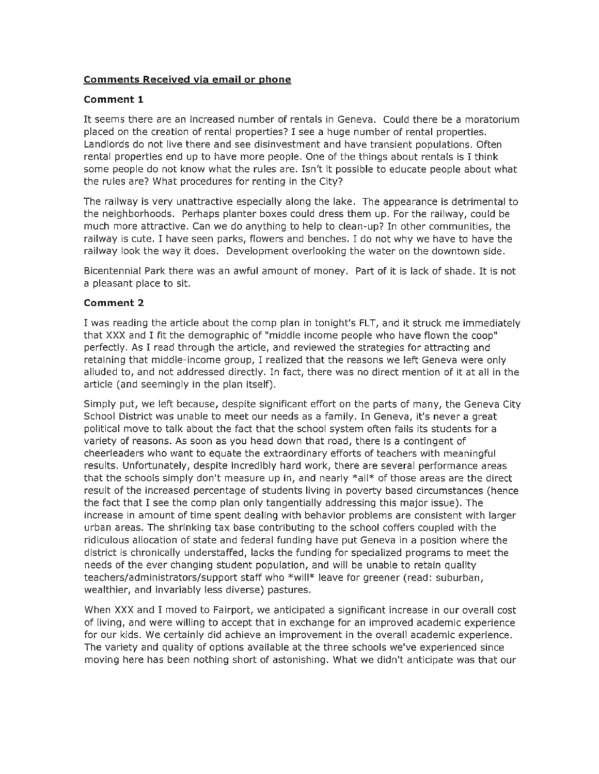## **Comments Received via email or phone**

## Comment 1

It seems there are an increased number of rentals in Geneva. Could there be a moratorium placed on the creation of rental properties? I see a huge number of rental properties. Landlords do not live there and see disinvestment and have transient populations. Often rental properties end up to have more people. One of the things about rentals is I think some people do not know what the rules are. Isn't it possible to educate people about what the rules are? What procedures for renting in the City?

The railway is very unattractive especially along the lake. The appearance is detrimental to the neighborhoods. Perhaps planter boxes could dress them up. For the railway, could be much more attractive. Can we do anything to help to clean-up? In other communities, the railway is cute. I have seen parks, flowers and benches. I do not why we have to have the railway look the way it does. Development overlooking the water on the downtown side.

Bicentennial Park there was an awful amount of money. Part of it is lack of shade. It is not a pleasant place to sit.

## Comment 2

I was reading the article about the comp plan in tonight's FLT, and it struck me immediately that XXX and I fit the demographic of "middle income people who have flown the coop" perfectly. As I read through the article, and reviewed the strategies for attracting and retaining that middle-income group, I realized that the reasons we left Geneva were only alluded to, and not addressed directly. In fact, there was no direct mention of it at all in the article (and seemingly in the plan itself).

Simply put, we left because, despite significant effort on the parts of many, the Geneva City School District was unable to meet our needs as a family. In Geneva, it's never a great political move to talk about the fact that the school system often fails its students for a variety of reasons. As soon as you head down that road, there is a contingent of cheerleaders who want to equate the extraordinary efforts of teachers with meaningful results. Unfortunately, despite incredibly hard work, there are several performance areas that the schools simply don't measure up in, and nearly \*all\* of those areas are the direct result of the increased percentage of students living in poverty based circumstances (hence the fact that I see the comp plan only tangentially addressing this major issue). The increase in amount of time spent dealing with behavior problems are consistent with larger urban areas. The shrinking tax base contributing to the school coffers coupled with the ridiculous allocation of state and federal funding have put Geneva in a position where the district is chronically understaffed, lacks the funding for specialized programs to meet the needs of the ever changing student population, and will be unable to retain quality teachers/administrators/support staff who \*will\* leave for greener (read: suburban, wealthier, and invariably less diverse) pastures.

When XXX and I moved to Fairport, we anticipated a significant increase in our overall cost of living, and were willing to accept that in exchange for an improved academic experience for our kids. We certainly did achieve an improvement in the overall academic experience. The variety and quality of options available at the three schools we've experienced since moving here has been nothing short of astonishing. What we didn't anticipate was that our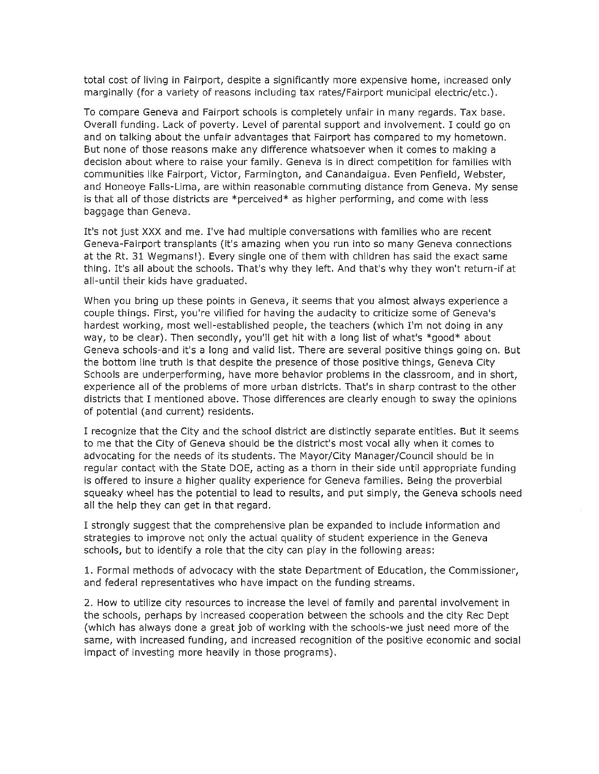total cost of living in Fairport, despite a significantly more expensive home, increased only marginally (for a variety of reasons including tax rates/Fairport municipal electric/etc.).

To compare Geneva and Fairport schools is completely unfair in many regards. Tax base. Overall funding. Lack of poverty. Level of parental support and involvement. I could go on and on talking about the unfair advantages that Fairport has compared to my hometown. But none of those reasons make any difference whatsoever when it comes to making a decision about where to raise your family. Geneva is in direct competition for families with communities like Fairport, Victor, Farmington, and Canandaigua. Even Penfield, Webster, and Honeoye Falls-Lima, are within reasonable commuting distance from Geneva. My sense is that all of those districts are \*perceived\* as higher performing, and come with less baggage than Geneva.

It's not just XXX and me. I've had multiple conversations with families who are recent Geneva-Fairport transplants (it's amazing when you run into so many Geneva connections at the Rt. 31 Wegmans!). Every single one of them with children has said the exact same thing. It's all about the schools. That's why they left. And that's why they won't return-if at all-until their kids have graduated.

When you bring up these points in Geneva, it seems that you almost always experience a couple things. First, you're vilified for having the audacity to criticize some of Geneva's hardest working, most well-established people, the teachers (which I'm not doing in any way, to be clear). Then secondly, you'll get hit with a long list of what's \*good\* about Geneva schools-and it's a long and valid list. There are several positive things going on. But the bottom line truth is that despite the presence of those positive things, Geneva City Schools are underperforming, have more behavior problems in the classroom, and in short, experience all of the problems of more urban districts. That's in sharp contrast to the other districts that I mentioned above. Those differences are clearly enough to sway the opinions of potential (and current) residents.

I recognize that the City and the school district are distinctly separate entities. But it seems to me that the City of Geneva should be the district's most vocal ally when it comes to advocating for the needs of its students. The Mayor/City Manager/Council should be in regular contact with the State DOE, acting as a thorn in their side until appropriate funding is offered to insure a higher quality experience for Geneva families. Being the proverbial squeaky wheel has the potential to lead to results, and put simply, the Geneva schools need all the help they can get in that regard.

I strongly suggest that the comprehensive plan be expanded to include information and strategies to improve not only the actual quality of student experience in the Geneva schools, but to identify a role that the city can play in the following areas:

1. Formal methods of advocacy with the state Department of Education, the Commissioner, and federal representatives who have impact on the funding streams.

2. How to utilize city resources to increase the level of family and parental involvement in the schools, perhaps by increased cooperation between the schools and the city Rec Dept (which has always done a great job of working with the schools-we just need more of the same, with increased funding, and increased recognition of the positive economic and social impact of investing more heavily in those programs).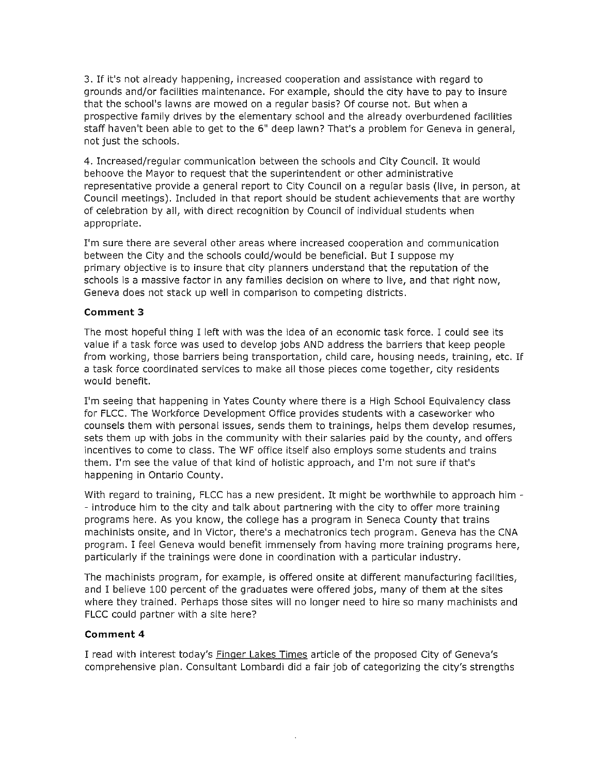3. If it's not already happening, increased cooperation and assistance with regard to grounds and/or facilities maintenance. For example, should the city have to pay to insure that the school's lawns are mowed on a regular basis? Of course not. But when a prospective family drives by the elementary school and the already overburdened facilities staff haven't been able to get to the 6" deep lawn? That's a problem for Geneva in general, not just the schools.

4. Increased/regular communication between the schools and City Council. It would behoove the Mayor to request that the superintendent or other administrative representative provide a general report to City Council on a regular basis (live, in person, at Council meetings). Included in that report should be student achievements that are worthy of celebration by all, with direct recognition by Council of individual students when appropriate.

I'm sure there are several other areas where increased cooperation and communication between the City and the schools could/would be beneficial. But I suppose my primary objective is to insure that city planners understand that the reputation of the schools is a massive factor in any families decision on where to live, and that right now, Geneva does not stack up well in comparison to competing districts.

## Comment 3

The most hopeful thing I left with was the idea of an economic task force. I could see its value if a task force was used to develop jobs AND address the barriers that keep people from working, those barriers being transportation, child care, housing needs, training, etc. If a task force coordinated services to make all those pieces come together, city residents would benefit.

I'm seeing that happening in Yates County where there is a High School Equivalency class for FLCC. The Workforce Development Office provides students with a caseworker who counsels them with personal issues, sends them to trainings, helps them develop resumes, sets them up with jobs in the community with their salaries paid by the county, and offers incentives to come to class. The WF office itself also employs some students and trains them. I'm see the value of that kind of holistic approach, and I'm not sure if that's happening in Ontario County.

With regard to training, FLCC has a new president. It might be worthwhile to approach him -- introduce him to the city and talk about partnering with the city to offer more training programs here. As you know, the college has a program in Seneca County that trains machinists onsite, and in Victor, there's a mechatronics tech program. Geneva has the CNA program. I feel Geneva would benefit immensely from having more training programs here, particularly if the trainings were done in coordination with a particular industry.

The machinists program, for example, is offered onsite at different manufacturing facilities, and I believe 100 percent of the graduates were offered jobs, many of them at the sites where they trained. Perhaps those sites will no longer need to hire so many machinists and FLCC could partner with a site here?

## Comment 4

I read with interest today's Finger Lakes Times article of the proposed City of Geneva's comprehensive plan. Consultant Lombardi did a fair job of categorizing the city's strengths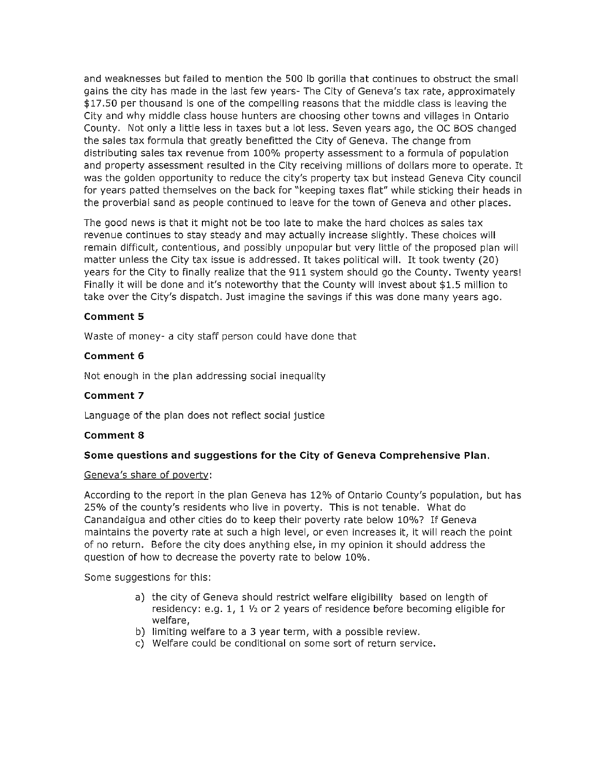and weaknesses but failed to mention the 500 lb gorilla that continues to obstruct the small gains the city has made in the last few years- The City of Geneva's tax rate, approximately \$17.50 per thousand is one of the compelling reasons that the middle class is leaving the City and why middle class house hunters are choosing other towns and villages in Ontario County. Not only a little less in taxes but a lot less. Seven years ago, the OC BOS changed the sales tax formula that greatly benefitted the City of Geneva. The change from distributing sales tax revenue from 100% property assessment to a formula of population and property assessment resulted in the City receiving millions of dollars more to operate. It was the golden opportunity to reduce the city's property tax but instead Geneva City council for years patted themselves on the back for "keeping taxes flat" while sticking their heads in the proverbial sand as people continued to leave for the town of Geneva and other places.

The good news is that it might not be too late to make the hard choices as sales tax revenue continues to stay steady and may actually increase slightly. These choices will remain difficult, contentious, and possibly unpopular but very little of the proposed plan will matter unless the City tax issue is addressed. It takes political will. It took twenty (20) years for the City to finally realize that the 911 system should go the County. Twenty years! Finally it will be done and it's noteworthy that the County will invest about \$1.5 million to take over the City's dispatch. Just imagine the savings if this was done many years ago.

## **Comment 5**

Waste of money- a city staff person could have done that

#### Comment 6

Not enough in the plan addressing social inequality

#### Comment 7

Language of the plan does not reflect social justice

#### Comment 8

#### Some questions and suggestions for the City of Geneva Comprehensive Plan.

#### Geneva's share of poverty:

According to the report in the plan Geneva has 12% of Ontario County's population, but has 25% of the county's residents who live in poverty. This is not tenable. What do Canandaigua and other cities do to keep their poverty rate below 10%? If Geneva maintains the poverty rate at such a high level, or even increases it, it will reach the point of no return. Before the city does anything else, in my opinion it should address the question of how to decrease the poverty rate to below 10%.

Some suggestions for this:

- a) the city of Geneva should restrict welfare eligibility based on length of residency: e.g. 1, 1 1/2 or 2 years of residence before becoming eligible for welfare.
- b) limiting welfare to a 3 year term, with a possible review.
- c) Welfare could be conditional on some sort of return service.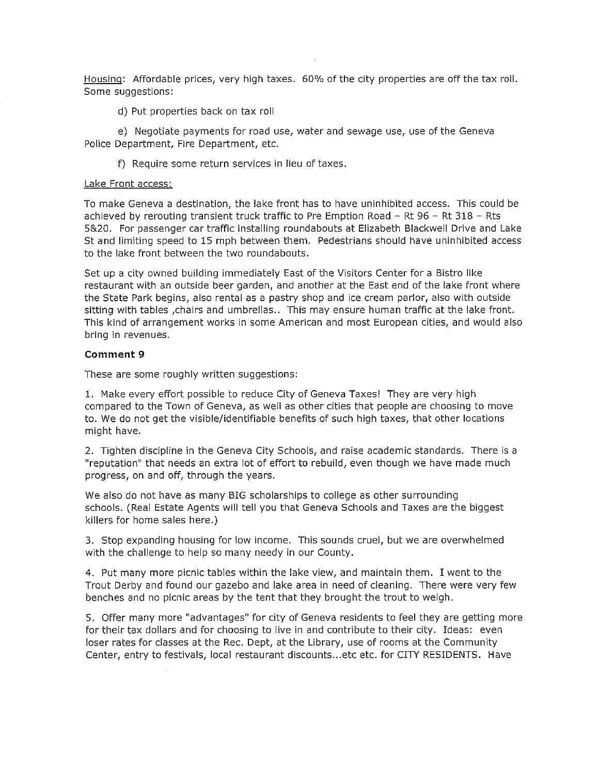Housing: Affordable prices, very high taxes. 60% of the city properties are off the tax roll. Some suggestions:

d) Put properties back on tax roll

e) Negotiate payments for road use, water and sewage use, use of the Geneva Police Department, Fire Department, etc.

f) Require some return services in lieu of taxes.

#### Lake Front access:

To make Geneva a destination, the lake front has to have uninhibited access. This could be achieved by rerouting transient truck traffic to Pre Emption Road - Rt 96 - Rt 318 - Rts 5&20. For passenger car traffic installing roundabouts at Elizabeth Blackwell Drive and Lake St and limiting speed to 15 mph between them. Pedestrians should have uninhibited access to the lake front between the two roundabouts.

Set up a city owned building immediately East of the Visitors Center for a Bistro like restaurant with an outside beer garden, and another at the East end of the lake front where the State Park begins, also rental as a pastry shop and ice cream parlor, also with outside sitting with tables , chairs and umbrellas.. This may ensure human traffic at the lake front. This kind of arrangement works in some American and most European cities, and would also bring in revenues.

#### Comment 9

These are some roughly written suggestions:

1. Make every effort possible to reduce City of Geneva Taxes! They are very high compared to the Town of Geneva, as well as other cities that people are choosing to move to. We do not get the visible/identifiable benefits of such high taxes, that other locations might have.

2. Tighten discipline in the Geneva City Schools, and raise academic standards. There is a "reputation" that needs an extra lot of effort to rebuild, even though we have made much progress, on and off, through the years.

We also do not have as many BIG scholarships to college as other surrounding schools. (Real Estate Agents will tell you that Geneva Schools and Taxes are the biggest killers for home sales here.)

3. Stop expanding housing for low income. This sounds cruel, but we are overwhelmed with the challenge to help so many needy in our County.

4. Put many more picnic tables within the lake view, and maintain them. I went to the Trout Derby and found our gazebo and lake area in need of cleaning. There were very few benches and no picnic areas by the tent that they brought the trout to weigh.

5. Offer many more "advantages" for city of Geneva residents to feel they are getting more for their tax dollars and for choosing to live in and contribute to their city. Ideas: even loser rates for classes at the Rec. Dept, at the Library, use of rooms at the Community Center, entry to festivals, local restaurant discounts...etc etc. for CITY RESIDENTS. Have